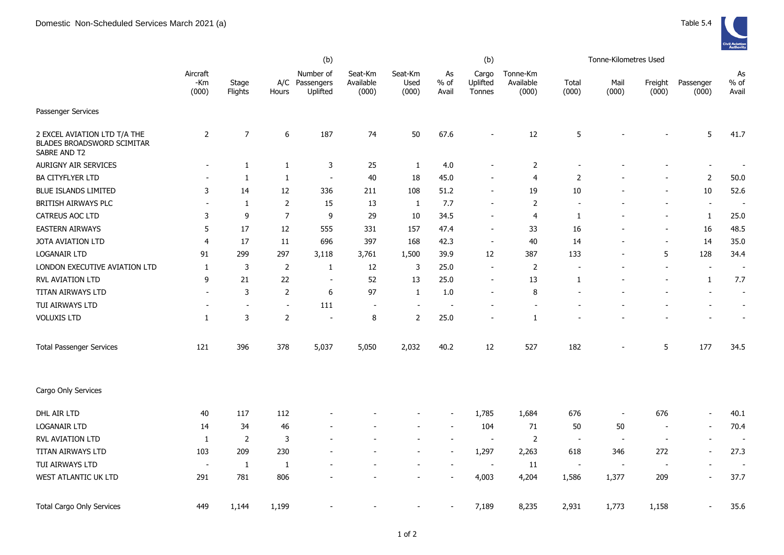|                                                                            |                          |                          |                          | (b)                                     |                               |                          |                          | (b)                         |                                |                          | Tonne-Kilometres Used    |                          |                          |                          |
|----------------------------------------------------------------------------|--------------------------|--------------------------|--------------------------|-----------------------------------------|-------------------------------|--------------------------|--------------------------|-----------------------------|--------------------------------|--------------------------|--------------------------|--------------------------|--------------------------|--------------------------|
|                                                                            | Aircraft<br>-Km<br>(000) | Stage<br>Flights         | Hours                    | Number of<br>A/C Passengers<br>Uplifted | Seat-Km<br>Available<br>(000) | Seat-Km<br>Used<br>(000) | As<br>$%$ of<br>Avail    | Cargo<br>Uplifted<br>Tonnes | Tonne-Km<br>Available<br>(000) | Total<br>(000)           | Mail<br>(000)            | Freight<br>(000)         | Passenger<br>(000)       | As<br>$%$ of<br>Avail    |
| Passenger Services                                                         |                          |                          |                          |                                         |                               |                          |                          |                             |                                |                          |                          |                          |                          |                          |
| 2 EXCEL AVIATION LTD T/A THE<br>BLADES BROADSWORD SCIMITAR<br>SABRE AND T2 | $\overline{2}$           | $\overline{7}$           | 6                        | 187                                     | 74                            | 50                       | 67.6                     |                             | 12                             | 5                        |                          |                          | 5                        | 41.7                     |
| <b>AURIGNY AIR SERVICES</b>                                                |                          | $\mathbf{1}$             | $\mathbf{1}$             | 3                                       | 25                            | $\mathbf{1}$             | 4.0                      |                             | $\overline{2}$                 |                          |                          |                          | $\overline{\phantom{a}}$ |                          |
| <b>BA CITYFLYER LTD</b>                                                    |                          | $\mathbf{1}$             | $\mathbf{1}$             | $\sim$                                  | 40                            | 18                       | 45.0                     |                             | 4                              | $\overline{2}$           |                          |                          | $\overline{2}$           | $50.0$                   |
| <b>BLUE ISLANDS LIMITED</b>                                                | 3                        | 14                       | 12                       | 336                                     | 211                           | 108                      | 51.2                     | $\overline{\phantom{a}}$    | 19                             | 10                       |                          |                          | 10                       | 52.6                     |
| <b>BRITISH AIRWAYS PLC</b>                                                 | $\sim$                   | 1                        | $\overline{2}$           | 15                                      | 13                            | $\mathbf{1}$             | 7.7                      |                             | $\overline{2}$                 |                          |                          | $\overline{\phantom{a}}$ | $\blacksquare$           | $\overline{\phantom{a}}$ |
| CATREUS AOC LTD                                                            | 3                        | 9                        | $\overline{7}$           | 9                                       | 29                            | $10\,$                   | 34.5                     |                             | 4                              | 1                        |                          | $\blacksquare$           | $\mathbf{1}$             | 25.0                     |
| <b>EASTERN AIRWAYS</b>                                                     | 5                        | 17                       | 12                       | 555                                     | 331                           | 157                      | 47.4                     | $\overline{\phantom{a}}$    | 33                             | 16                       |                          | $\blacksquare$           | 16                       | 48.5                     |
| JOTA AVIATION LTD                                                          | $\overline{4}$           | 17                       | 11                       | 696                                     | 397                           | 168                      | 42.3                     | $\overline{\phantom{a}}$    | 40                             | 14                       |                          | $\overline{a}$           | 14                       | 35.0                     |
| <b>LOGANAIR LTD</b>                                                        | 91                       | 299                      | 297                      | 3,118                                   | 3,761                         | 1,500                    | 39.9                     | 12                          | 387                            | 133                      |                          | 5                        | 128                      | 34.4                     |
| LONDON EXECUTIVE AVIATION LTD                                              | 1                        | $\mathbf{3}$             | $\overline{2}$           | 1                                       | 12                            | 3                        | 25.0                     | $\overline{\phantom{a}}$    | $\overline{2}$                 | $\overline{\phantom{a}}$ |                          | $\overline{\phantom{a}}$ | $\blacksquare$           | $\blacksquare$           |
| <b>RVL AVIATION LTD</b>                                                    | 9                        | 21                       | 22                       | $\overline{\phantom{a}}$                | 52                            | 13                       | 25.0                     | $\overline{\phantom{a}}$    | 13                             | 1                        |                          |                          | $\mathbf{1}$             | 7.7                      |
| TITAN AIRWAYS LTD                                                          | $\sim$                   | 3                        | $\overline{2}$           | 6                                       | 97                            | $\mathbf{1}$             | 1.0                      |                             | 8                              |                          |                          |                          |                          | $\blacksquare$           |
| TUI AIRWAYS LTD                                                            |                          | $\overline{\phantom{a}}$ | $\overline{\phantom{a}}$ | 111                                     | $\overline{\phantom{a}}$      | $\overline{\phantom{a}}$ | $\overline{\phantom{a}}$ |                             |                                |                          |                          |                          |                          | $\overline{\phantom{a}}$ |
| <b>VOLUXIS LTD</b>                                                         | $\mathbf{1}$             | 3                        | $\overline{2}$           | $\overline{\phantom{a}}$                | 8                             | $\overline{2}$           | 25.0                     |                             | $\mathbf{1}$                   |                          |                          |                          |                          |                          |
| <b>Total Passenger Services</b>                                            | 121                      | 396                      | 378                      | 5,037                                   | 5,050                         | 2,032                    | 40.2                     | 12                          | 527                            | 182                      |                          | 5                        | 177                      | 34.5                     |
| Cargo Only Services                                                        |                          |                          |                          |                                         |                               |                          |                          |                             |                                |                          |                          |                          |                          |                          |
| DHL AIR LTD                                                                | 40                       | 117                      | 112                      |                                         |                               |                          |                          | 1,785                       | 1,684                          | 676                      | $\blacksquare$           | 676                      | $\blacksquare$           | 40.1                     |
| LOGANAIR LTD                                                               | 14                       | 34                       | 46                       |                                         |                               |                          |                          | 104                         | 71                             | 50                       | 50                       | $\overline{\phantom{a}}$ | $\overline{\phantom{a}}$ | 70.4                     |
| RVL AVIATION LTD                                                           | $\mathbf{1}$             | 2                        | 3                        |                                         |                               |                          |                          | $\overline{\phantom{a}}$    | $\overline{2}$                 | $\overline{\phantom{a}}$ | $\overline{\phantom{a}}$ | $\overline{a}$           | $\blacksquare$           |                          |
| TITAN AIRWAYS LTD                                                          | 103                      | 209                      | 230                      |                                         |                               |                          |                          | 1,297                       | 2,263                          | 618                      | 346                      | 272                      | $\sim$                   | 27.3                     |
| TUI AIRWAYS LTD                                                            | $\overline{\phantom{a}}$ | $\mathbf{1}$             | $\mathbf{1}$             |                                         |                               |                          |                          | $\overline{\phantom{a}}$    | 11                             | $\overline{\phantom{a}}$ | $\overline{\phantom{a}}$ | <u>. на п</u>            | $\sim$                   | - -                      |
| WEST ATLANTIC UK LTD                                                       | 291                      | 781                      | 806                      |                                         |                               |                          |                          | 4,003                       | 4,204                          | 1,586                    | 1,377                    | 209                      | $\overline{\phantom{a}}$ | 37.7                     |
| <b>Total Cargo Only Services</b>                                           | 449                      | 1,144                    | 1,199                    |                                         |                               |                          |                          | 7,189                       | 8,235                          | 2,931                    | 1,773                    | 1,158                    | $\sim$                   | 35.6                     |